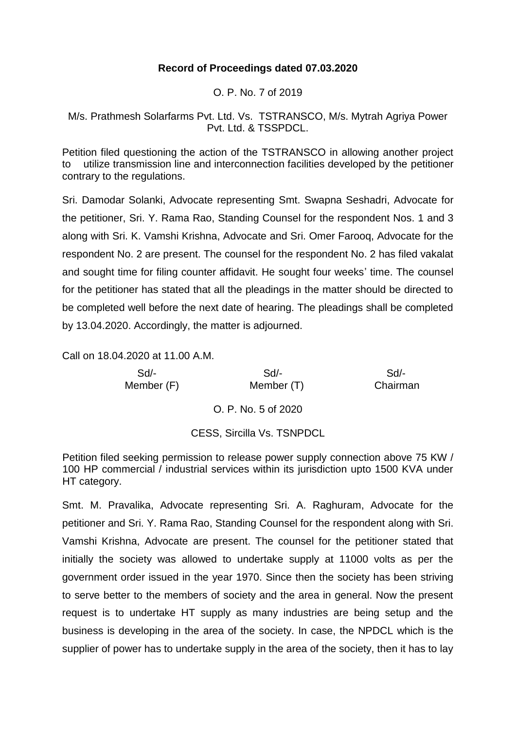## **Record of Proceedings dated 07.03.2020**

O. P. No. 7 of 2019

M/s. Prathmesh Solarfarms Pvt. Ltd. Vs. TSTRANSCO, M/s. Mytrah Agriya Power Pvt. Ltd. & TSSPDCL.

Petition filed questioning the action of the TSTRANSCO in allowing another project to utilize transmission line and interconnection facilities developed by the petitioner contrary to the regulations.

Sri. Damodar Solanki, Advocate representing Smt. Swapna Seshadri, Advocate for the petitioner, Sri. Y. Rama Rao, Standing Counsel for the respondent Nos. 1 and 3 along with Sri. K. Vamshi Krishna, Advocate and Sri. Omer Farooq, Advocate for the respondent No. 2 are present. The counsel for the respondent No. 2 has filed vakalat and sought time for filing counter affidavit. He sought four weeks' time. The counsel for the petitioner has stated that all the pleadings in the matter should be directed to be completed well before the next date of hearing. The pleadings shall be completed by 13.04.2020. Accordingly, the matter is adjourned.

Call on 18.04.2020 at 11.00 A.M.

| $Sd$ -<br>Member (F) | Sd<br>Member (T)                  | Sd/-<br>Chairman |
|----------------------|-----------------------------------|------------------|
|                      | O. P. No. 5 of 2020               |                  |
|                      | <b>CESS, Sircilla Vs. TSNPDCL</b> |                  |

Petition filed seeking permission to release power supply connection above 75 KW / 100 HP commercial / industrial services within its jurisdiction upto 1500 KVA under HT category.

Smt. M. Pravalika, Advocate representing Sri. A. Raghuram, Advocate for the petitioner and Sri. Y. Rama Rao, Standing Counsel for the respondent along with Sri. Vamshi Krishna, Advocate are present. The counsel for the petitioner stated that initially the society was allowed to undertake supply at 11000 volts as per the government order issued in the year 1970. Since then the society has been striving to serve better to the members of society and the area in general. Now the present request is to undertake HT supply as many industries are being setup and the business is developing in the area of the society. In case, the NPDCL which is the supplier of power has to undertake supply in the area of the society, then it has to lay